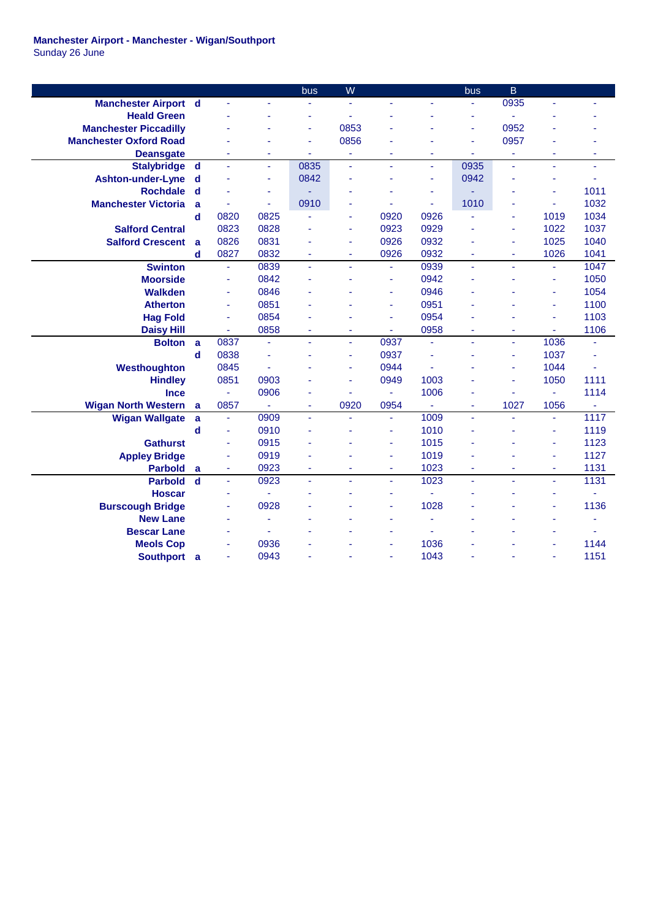|                               |             |                          |      | bus                      | W              |                          |      | bus  | B                        |                     |      |
|-------------------------------|-------------|--------------------------|------|--------------------------|----------------|--------------------------|------|------|--------------------------|---------------------|------|
| <b>Manchester Airport d</b>   |             | ä,                       |      |                          |                |                          |      |      | 0935                     |                     |      |
| <b>Heald Green</b>            |             |                          |      |                          |                |                          |      | ä,   |                          |                     |      |
| <b>Manchester Piccadilly</b>  |             |                          |      | ä,                       | 0853           |                          |      | ä,   | 0952                     |                     |      |
| <b>Manchester Oxford Road</b> |             |                          |      | L,                       | 0856           |                          |      | ä,   | 0957                     |                     |      |
| <b>Deansgate</b>              |             |                          | ٠    |                          | ä,             |                          |      | ä,   |                          |                     |      |
| <b>Stalybridge</b>            | d           |                          | ä,   | 0835                     | ä,             | ٠                        | ÷.   | 0935 | ÷.                       | ä,                  | ä,   |
| Ashton-under-Lyne             | $\mathbf d$ |                          | Ξ    | 0842                     |                | ÷                        | ٠    | 0942 | ä,                       |                     | ٠    |
| <b>Rochdale</b>               | $\mathbf d$ |                          | ٠    |                          |                |                          | ٠    |      | ٠                        | ÷,                  | 1011 |
| <b>Manchester Victoria</b>    | a           |                          | ä,   | 0910                     |                |                          | ä,   | 1010 | ä,                       | $\bar{\phantom{a}}$ | 1032 |
|                               | $\mathbf d$ | 0820                     | 0825 |                          | ÷,             | 0920                     | 0926 | ä,   | ÷                        | 1019                | 1034 |
| <b>Salford Central</b>        |             | 0823                     | 0828 |                          | ä,             | 0923                     | 0929 |      | ä,                       | 1022                | 1037 |
| <b>Salford Crescent</b>       | a           | 0826                     | 0831 |                          | ä,             | 0926                     | 0932 | ÷    | ä,                       | 1025                | 1040 |
|                               | d           | 0827                     | 0832 | ä,                       | ÷,             | 0926                     | 0932 | ä,   | ä,                       | 1026                | 1041 |
| <b>Swinton</b>                |             | ä,                       | 0839 | L,                       | ä,             | ä,                       | 0939 | ä,   | ä,                       | ä,                  | 1047 |
| <b>Moorside</b>               |             | ÷.                       | 0842 |                          |                | ä,                       | 0942 |      |                          | ä,                  | 1050 |
| <b>Walkden</b>                |             | ä,                       | 0846 |                          |                | ä,                       | 0946 |      |                          | ä,                  | 1054 |
| <b>Atherton</b>               |             | ÷                        | 0851 |                          |                | ÷                        | 0951 |      |                          | ä,                  | 1100 |
| <b>Hag Fold</b>               |             | ä,                       | 0854 |                          |                | ä,                       | 0954 |      |                          | ä,                  | 1103 |
| <b>Daisy Hill</b>             |             | $\blacksquare$           | 0858 | ä,                       | $\blacksquare$ | ÷                        | 0958 | ÷    | ÷                        | Ξ                   | 1106 |
| <b>Bolton</b>                 | a           | 0837                     | ä,   | ä,                       | ä,             | 0937                     | ä,   | ä,   | ä,                       | 1036                |      |
|                               | $\mathbf d$ | 0838                     | ä,   |                          | ä,             | 0937                     |      | ÷    | ÷                        | 1037                |      |
| Westhoughton                  |             | 0845                     | ä,   |                          | ä,             | 0944                     |      |      | ä,                       | 1044                |      |
| <b>Hindley</b>                |             | 0851                     | 0903 |                          | ä,             | 0949                     | 1003 |      | ä,                       | 1050                | 1111 |
| <b>Ince</b>                   |             |                          | 0906 |                          |                |                          | 1006 | ٠    |                          | ÷.                  | 1114 |
| <b>Wigan North Western</b>    | a           | 0857                     |      | ÷,                       | 0920           | 0954                     | ä,   | ä,   | 1027                     | 1056                |      |
| <b>Wigan Wallgate</b>         | a           | ÷,                       | 0909 | $\blacksquare$           | ÷.             | $\overline{\phantom{a}}$ | 1009 | ä,   | $\sim$                   | Ξ                   | 1117 |
|                               | d           | ä,                       | 0910 |                          |                | ٠                        | 1010 | ä,   |                          | ä,                  | 1119 |
| <b>Gathurst</b>               |             | ÷.                       | 0915 |                          |                | $\blacksquare$           | 1015 | ä,   | ٠                        | ä,                  | 1123 |
| <b>Appley Bridge</b>          |             | ä,                       | 0919 |                          |                | ٠                        | 1019 |      |                          | ä,                  | 1127 |
| <b>Parbold</b>                | a           | Ξ                        | 0923 | $\overline{\phantom{a}}$ | ÷              | $\blacksquare$           | 1023 | ÷    | ٠                        | ÷                   | 1131 |
| <b>Parbold</b>                | $\mathbf d$ | ä,                       | 0923 | $\blacksquare$           | ÷.             | ä,                       | 1023 | ä,   | $\overline{\phantom{a}}$ | ÷.                  | 1131 |
| <b>Hoscar</b>                 |             | $\overline{\phantom{a}}$ | ä,   |                          |                | ٠                        | ÷,   | ä,   | ä,                       | ä,                  | ä,   |
| <b>Burscough Bridge</b>       |             |                          | 0928 |                          |                |                          | 1028 |      |                          | ä,                  | 1136 |
| <b>New Lane</b>               |             |                          | ä,   |                          |                |                          |      |      |                          | L,                  | ä,   |
| <b>Bescar Lane</b>            |             |                          | ä,   |                          |                |                          |      |      |                          |                     | ä,   |
| <b>Meols Cop</b>              |             | $\overline{\phantom{a}}$ | 0936 |                          |                |                          | 1036 |      |                          | L,                  | 1144 |
| <b>Southport</b>              | a           | ä,                       | 0943 |                          |                | ٠                        | 1043 |      |                          | ÷.                  | 1151 |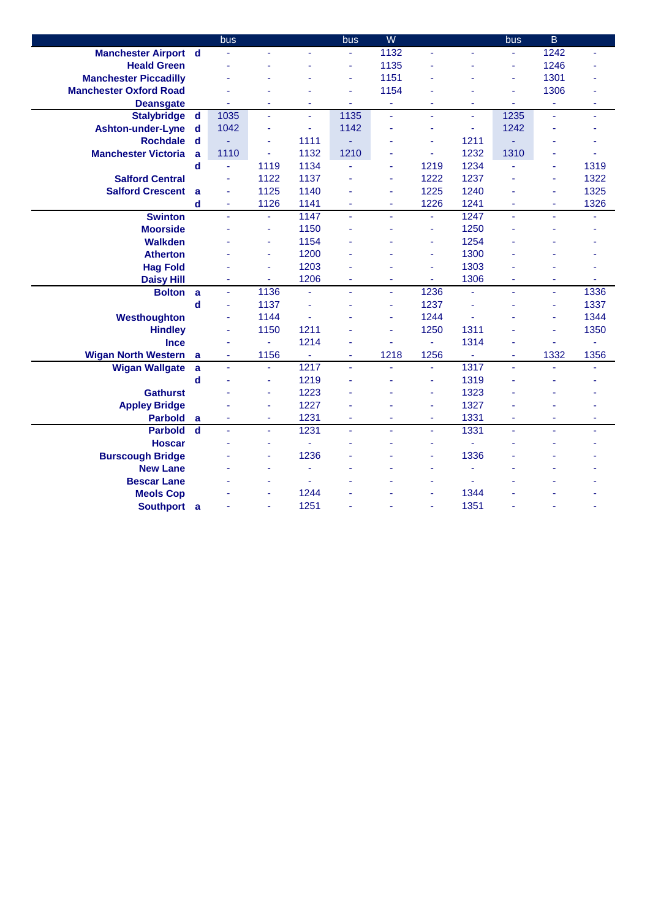|                               |             | bus            |                |                          | bus      | W                        |                |      | bus            | $\overline{B}$ |      |
|-------------------------------|-------------|----------------|----------------|--------------------------|----------|--------------------------|----------------|------|----------------|----------------|------|
| <b>Manchester Airport d</b>   |             |                |                |                          |          | 1132                     |                |      | ÷              | 1242           |      |
| <b>Heald Green</b>            |             |                |                |                          | L        | 1135                     |                |      | ä,             | 1246           |      |
| <b>Manchester Piccadilly</b>  |             |                |                |                          | ä,       | 1151                     |                |      | ä,             | 1301           |      |
| <b>Manchester Oxford Road</b> |             |                |                |                          | ä,       | 1154                     |                |      | ä,             | 1306           |      |
| <b>Deansgate</b>              |             |                |                | ä,                       | ä,       | $\overline{\phantom{a}}$ |                | ÷    | ä,             | ٠              | ä,   |
| <b>Stalybridge</b>            | $\mathbf d$ | 1035           | ä,             | ä,                       | 1135     | ä,                       | ä,             | ÷.   | 1235           | ä,             | ä,   |
| <b>Ashton-under-Lyne</b>      | d           | 1042           | ä,             | ÷,                       | 1142     | ä,                       | ÷              | ä,   | 1242           |                |      |
| <b>Rochdale</b>               | d           |                | ä,             | 1111                     |          |                          | ÷              | 1211 |                |                |      |
| <b>Manchester Victoria</b>    | a           | 1110           | ä,             | 1132                     | 1210     |                          | ä,             | 1232 | 1310           |                |      |
|                               | d           | L,             | 1119           | 1134                     | ä,       | $\blacksquare$           | 1219           | 1234 | ä,             | ٠              | 1319 |
| <b>Salford Central</b>        |             | ä,             | 1122           | 1137                     | L        | $\blacksquare$           | 1222           | 1237 |                | ä,             | 1322 |
| <b>Salford Crescent</b>       | a           | ÷,             | 1125           | 1140                     |          | $\overline{\phantom{a}}$ | 1225           | 1240 |                | ÷              | 1325 |
|                               | $\mathbf d$ | $\blacksquare$ | 1126           | 1141                     | ÷        | ٠                        | 1226           | 1241 | ٠              | ٠              | 1326 |
| <b>Swinton</b>                |             | $\blacksquare$ | ä,             | 1147                     | ÷.       | $\overline{\phantom{a}}$ | Ξ              | 1247 | $\blacksquare$ | ٠              |      |
| <b>Moorside</b>               |             |                | ÷              | 1150                     |          |                          | ÷              | 1250 |                |                |      |
| <b>Walkden</b>                |             |                | ÷              | 1154                     |          |                          | ä,             | 1254 |                |                |      |
| <b>Atherton</b>               |             |                | ÷              | 1200                     |          |                          | ä,             | 1300 |                |                |      |
| <b>Hag Fold</b>               |             |                | ä,             | 1203                     |          |                          | ä,             | 1303 |                |                |      |
| <b>Daisy Hill</b>             |             | $\blacksquare$ | ÷              | 1206                     | ä,       | $\blacksquare$           | ÷.             | 1306 | ä,             | ۰              | ä,   |
| <b>Bolton</b>                 | a           | ä,             | 1136           | $\bar{a}$                | L.       | $\mathbf{r}$             | 1236           | ä,   | ä,             | ä,             | 1336 |
|                               | $\mathbf d$ | ä,             | 1137           | ÷.                       |          | $\blacksquare$           | 1237           | ä,   |                | ٠              | 1337 |
| Westhoughton                  |             | ä,             | 1144           | ä,                       |          | ÷,                       | 1244           | ä,   |                | ٠              | 1344 |
| <b>Hindley</b>                |             | ä,             | 1150           | 1211                     |          | ÷,                       | 1250           | 1311 |                | ä,             | 1350 |
| <b>Ince</b>                   |             |                | Ξ              | 1214                     |          |                          | $\blacksquare$ | 1314 |                | ä,             | ٠    |
| <b>Wigan North Western</b>    | a           | ÷,             | 1156           | $\blacksquare$           | ä,       | 1218                     | 1256           | ÷,   | ٠              | 1332           | 1356 |
| <b>Wigan Wallgate</b>         | a           | $\omega$       | ä,             | 1217                     | ä,       | ä,                       | $\omega$       | 1317 | ä,             | ä,             |      |
|                               | $\mathbf d$ |                | ÷              | 1219                     |          |                          | ä,             | 1319 |                |                |      |
| <b>Gathurst</b>               |             |                | ä,             | 1223                     |          |                          | ä,             | 1323 |                |                |      |
| <b>Appley Bridge</b>          |             |                | ä,             | 1227                     |          |                          | ä,             | 1327 |                |                |      |
| <b>Parbold</b>                | a           | ÷              | ٠              | 1231                     | $\omega$ | ٠                        | ٠              | 1331 | ٠              | ٠              | ٠    |
| <b>Parbold</b>                | $\mathbf d$ | ä,             | ä,             | 1231                     | ä,       | $\mathbf{r}$             | $\blacksquare$ | 1331 | $\bar{a}$      | ä,             | ÷.   |
| <b>Hoscar</b>                 |             |                | ä,             | ÷                        |          |                          | ä,             | ä,   |                |                |      |
| <b>Burscough Bridge</b>       |             |                | ÷              | 1236                     |          |                          | ÷              | 1336 |                |                |      |
| <b>New Lane</b>               |             |                |                | $\overline{\phantom{a}}$ |          |                          |                | ä,   |                |                |      |
| <b>Bescar Lane</b>            |             |                |                |                          |          |                          |                |      |                |                |      |
| <b>Meols Cop</b>              |             |                | $\blacksquare$ | 1244                     |          |                          |                | 1344 |                |                |      |
| Southport a                   |             |                |                | 1251                     |          |                          |                | 1351 |                |                |      |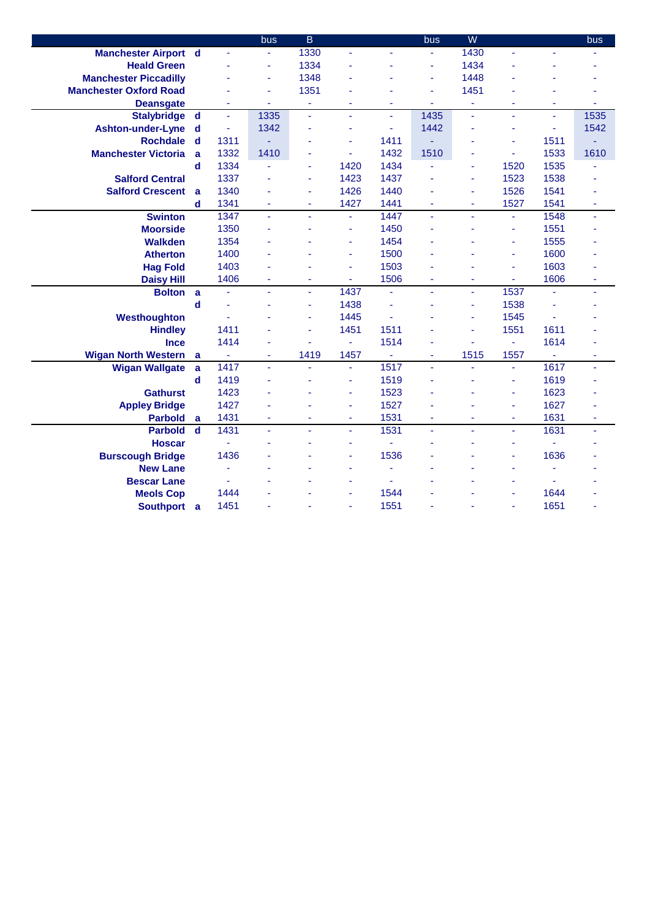|                               |             |                | bus  | $\overline{B}$ |                |                | bus            | W    |                |                | bus  |
|-------------------------------|-------------|----------------|------|----------------|----------------|----------------|----------------|------|----------------|----------------|------|
| <b>Manchester Airport d</b>   |             | $\blacksquare$ | ÷    | 1330           | ä,             |                | $\blacksquare$ | 1430 |                |                |      |
| <b>Heald Green</b>            |             |                | ä,   | 1334           |                |                | ÷,             | 1434 |                |                |      |
| <b>Manchester Piccadilly</b>  |             |                | ÷    | 1348           |                |                | ÷,             | 1448 |                |                |      |
| <b>Manchester Oxford Road</b> |             |                | ä,   | 1351           |                |                | $\blacksquare$ | 1451 |                |                |      |
| <b>Deansgate</b>              |             |                | ÷    | ÷              | ٠              | ٠              | ÷.             | ä,   |                | ٠              |      |
| <b>Stalybridge</b>            | $\mathbf d$ | ä,             | 1335 | ä,             | ä,             | ÷.             | 1435           | ä,   | ÷.             | ÷.             | 1535 |
| <b>Ashton-under-Lyne</b>      | d           | $\blacksquare$ | 1342 |                | ä,             | ÷,             | 1442           | ä,   | ä              | $\blacksquare$ | 1542 |
| <b>Rochdale</b>               | $\mathbf d$ | 1311           |      | ä,             | ä,             | 1411           |                | ä,   | ä,             | 1511           |      |
| <b>Manchester Victoria</b>    | a           | 1332           | 1410 | ä,             | ÷.             | 1432           | 1510           | ä,   | ä,             | 1533           | 1610 |
|                               | d           | 1334           | ÷,   | ٠              | 1420           | 1434           | ä,             | ٠    | 1520           | 1535           | ٠    |
| <b>Salford Central</b>        |             | 1337           | ä,   | ÷              | 1423           | 1437           |                | ÷,   | 1523           | 1538           |      |
| <b>Salford Crescent</b>       | a           | 1340           |      | ٠              | 1426           | 1440           |                | ÷    | 1526           | 1541           |      |
|                               | $\mathbf d$ | 1341           | ÷    | ٠              | 1427           | 1441           | ÷              | ÷    | 1527           | 1541           | ٠    |
| <b>Swinton</b>                |             | 1347           | ä,   | ÷              | $\blacksquare$ | 1447           | $\omega$       | ٠    | $\blacksquare$ | 1548           | ٠    |
| <b>Moorside</b>               |             | 1350           | ä,   |                | ä,             | 1450           |                |      | ä,             | 1551           |      |
| <b>Walkden</b>                |             | 1354           |      |                | ä,             | 1454           |                |      | ä,             | 1555           |      |
| <b>Atherton</b>               |             | 1400           | ä,   |                | ä,             | 1500           |                |      | ä,             | 1600           |      |
| <b>Hag Fold</b>               |             | 1403           |      |                | ä,             | 1503           |                |      | ä,             | 1603           |      |
| <b>Daisy Hill</b>             |             | 1406           | ÷    | ٠              | ÷              | 1506           | ÷,             | ä,   | ÷,             | 1606           | ä,   |
| <b>Bolton</b>                 | a           | ä,             | ä,   | ä,             | 1437           | ä,             | ä,             | ä,   | 1537           | ä,             | ÷,   |
|                               | $\mathbf d$ |                |      | ä,             | 1438           | ä,             |                | ä,   | 1538           | ÷              |      |
| Westhoughton                  |             | ä,             |      | ä,             | 1445           | ä,             |                | ÷,   | 1545           | ä,             |      |
| <b>Hindley</b>                |             | 1411           | ÷    | ä,             | 1451           | 1511           |                | ÷    | 1551           | 1611           |      |
| <b>Ince</b>                   |             | 1414           | ä,   |                | ÷.             | 1514           |                | ä,   | $\omega$       | 1614           |      |
| <b>Wigan North Western</b>    | a           | $\omega$       | ÷    | 1419           | 1457           | $\blacksquare$ | $\blacksquare$ | 1515 | 1557           | $\omega$       | ٠    |
| <b>Wigan Wallgate</b>         | a           | 1417           | ä,   |                | ä,             | 1517           |                | ä,   | ä,             | 1617           | ä,   |
|                               | $\mathbf d$ | 1419           | ä,   |                | ÷              | 1519           |                | ä,   | ä,             | 1619           |      |
| <b>Gathurst</b>               |             | 1423           | ä,   |                | ä,             | 1523           |                |      | ä,             | 1623           |      |
| <b>Appley Bridge</b>          |             | 1427           |      |                | ä,             | 1527           |                |      | ä,             | 1627           |      |
| <b>Parbold</b>                | a           | 1431           | ٠    | ٠              | $\blacksquare$ | 1531           | $\blacksquare$ | ٠    | ٠              | 1631           | ٠    |
| <b>Parbold</b>                | d           | 1431           | ä,   | u.             | ÷.             | 1531           | ä,             | ä,   | L,             | 1631           | ÷,   |
| <b>Hoscar</b>                 |             | ä,             |      |                | ÷              | ä,             |                | ٠    | ÷              |                |      |
| <b>Burscough Bridge</b>       |             | 1436           |      |                | ä,             | 1536           |                |      | ä,             | 1636           |      |
| <b>New Lane</b>               |             | ä,             |      |                | ÷              | ä,             |                |      | ٠              | ä,             |      |
| <b>Bescar Lane</b>            |             |                |      |                | ٠              |                |                |      | ä,             |                |      |
| <b>Meols Cop</b>              |             | 1444           |      |                | ٠              | 1544           |                |      | ä,             | 1644           |      |
| Southport a                   |             | 1451           |      |                | ÷              | 1551           |                |      | ä,             | 1651           |      |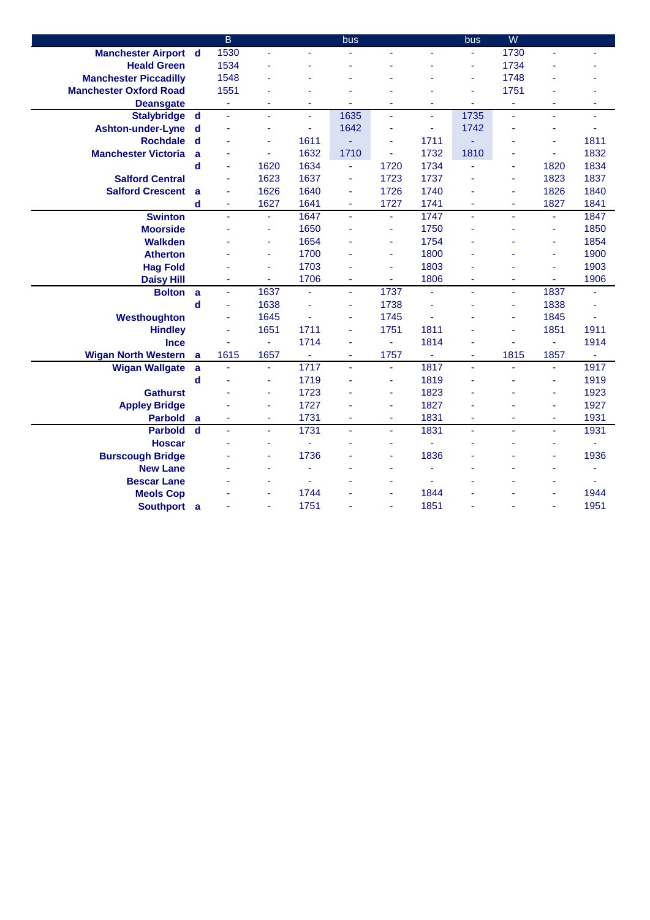|                               |              | $\overline{B}$ |                          |                | bus            |                |                | bus  | W    |                |                |
|-------------------------------|--------------|----------------|--------------------------|----------------|----------------|----------------|----------------|------|------|----------------|----------------|
| <b>Manchester Airport d</b>   |              | 1530           | ä,                       |                |                | ä,             |                | ÷    | 1730 | ä,             |                |
| <b>Heald Green</b>            |              | 1534           |                          |                |                |                |                | ä,   | 1734 |                |                |
| <b>Manchester Piccadilly</b>  |              | 1548           |                          |                |                |                |                | ä,   | 1748 |                |                |
| <b>Manchester Oxford Road</b> |              | 1551           |                          |                |                |                |                | ä,   | 1751 |                |                |
| <b>Deansgate</b>              |              | ä,             |                          |                | ä,             | ä,             |                | ä,   | ä,   | ä,             |                |
| <b>Stalybridge</b>            | <b>d</b>     | ä,             | ÷,                       | ÷.             | 1635           | ÷.             | ä,             | 1735 | u.   | ä,             | ٠              |
| <b>Ashton-under-Lyne</b>      | d            | í,             | $\blacksquare$           | ÷              | 1642           | ä,             | ä,             | 1742 | ä,   | ä              | ٠              |
| <b>Rochdale</b>               | d            | ä,             | $\blacksquare$           | 1611           |                | ٠              | 1711           |      | ٠    | ä,             | 1811           |
| <b>Manchester Victoria</b>    | $\mathbf{a}$ | ä,             | ÷                        | 1632           | 1710           | ÷              | 1732           | 1810 | ٠    | Ξ              | 1832           |
|                               | $\mathbf d$  | ä,             | 1620                     | 1634           | $\blacksquare$ | 1720           | 1734           | ä,   | ٠    | 1820           | 1834           |
| <b>Salford Central</b>        |              | ä              | 1623                     | 1637           | Ξ              | 1723           | 1737           |      | ä,   | 1823           | 1837           |
| <b>Salford Crescent</b>       | a            | ä              | 1626                     | 1640           | ä,             | 1726           | 1740           |      | ä,   | 1826           | 1840           |
|                               | $\mathbf d$  | ۰              | 1627                     | 1641           | ٠              | 1727           | 1741           | ٠    | ٠    | 1827           | 1841           |
| <b>Swinton</b>                |              | ä,             | $\blacksquare$           | 1647           | ä,             | ä,             | 1747           | ä,   | ÷.   | ÷,             | 1847           |
| <b>Moorside</b>               |              |                | ä,                       | 1650           |                | ä,             | 1750           |      |      | L,             | 1850           |
| <b>Walkden</b>                |              |                | ä,                       | 1654           |                | ä,             | 1754           |      |      | ä,             | 1854           |
| <b>Atherton</b>               |              |                | $\sim$                   | 1700           |                | ä,             | 1800           |      |      | ä,             | 1900           |
| <b>Hag Fold</b>               |              |                | $\overline{\phantom{a}}$ | 1703           |                | ä,             | 1803           |      |      | ä,             | 1903           |
| <b>Daisy Hill</b>             |              | ä,             | $\blacksquare$           | 1706           | ÷              | $\blacksquare$ | 1806           | ä,   | ٠    | $\blacksquare$ | 1906           |
| <b>Bolton</b>                 | a            | ä,             | 1637                     | ÷,             | ä,             | 1737           | ä,             | ä,   | ä,   | 1837           |                |
|                               | $\mathbf d$  | ä,             | 1638                     |                | ä,             | 1738           |                |      | ä,   | 1838           |                |
| Westhoughton                  |              | ä,             | 1645                     | ä,             | ä,             | 1745           | ä,             |      | ä,   | 1845           | ä,             |
| <b>Hindley</b>                |              | ä,             | 1651                     | 1711           | ä,             | 1751           | 1811           |      | ٠    | 1851           | 1911           |
| <b>Ince</b>                   |              | L,             | $\blacksquare$           | 1714           | ä,             | Ξ              | 1814           | ٠    |      | ä,             | 1914           |
| <b>Wigan North Western</b>    | a            | 1615           | 1657                     | $\blacksquare$ | ÷              | 1757           | $\blacksquare$ | ä,   | 1815 | 1857           | $\blacksquare$ |
| <b>Wigan Wallgate</b>         | a            | ä,             | $\omega$                 | 1717           | ä,             | $\blacksquare$ | 1817           | ä,   |      | ÷.             | 1917           |
|                               | $\mathbf d$  | ä,             | $\overline{\phantom{a}}$ | 1719           | ä,             | ٠              | 1819           | ٠    |      | ä,             | 1919           |
| <b>Gathurst</b>               |              |                | ÷                        | 1723           | ä,             | ٠              | 1823           | ٠    |      | ä,             | 1923           |
| <b>Appley Bridge</b>          |              |                | $\overline{\phantom{a}}$ | 1727           | ä,             | ٠              | 1827           | ٠    |      | ä,             | 1927           |
| <b>Parbold</b>                | a            | Ξ              | $\overline{\phantom{a}}$ | 1731           | $\blacksquare$ | ٠              | 1831           | ÷    | ٠    | ٠              | 1931           |
| <b>Parbold</b>                | $\mathbf d$  | ÷,             | ÷                        | 1731           | ä,             | Ξ              | 1831           | ä,   | ÷,   | ٠              | 1931           |
| <b>Hoscar</b>                 |              |                | ä,                       |                |                | ä,             |                |      |      | ä,             | ä,             |
| <b>Burscough Bridge</b>       |              |                | ÷                        | 1736           |                | ÷              | 1836           |      |      | ٠              | 1936           |
| <b>New Lane</b>               |              |                |                          |                |                |                |                |      |      | ä,             | ä,             |
| <b>Bescar Lane</b>            |              |                |                          |                |                |                |                |      |      |                |                |
| <b>Meols Cop</b>              |              |                |                          | 1744           |                |                | 1844           |      |      |                | 1944           |
| Southport a                   |              |                |                          | 1751           |                |                | 1851           |      |      |                | 1951           |
|                               |              |                |                          |                |                |                |                |      |      |                |                |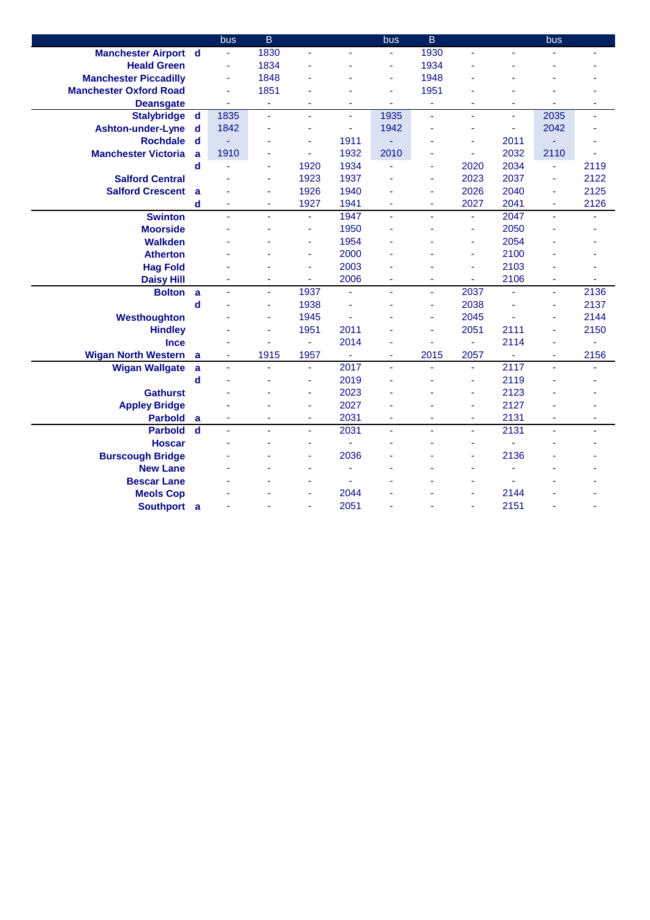|                               |             | bus            | $\overline{B}$ |                          |      | bus                      | $\overline{B}$ |      |                | bus            |      |
|-------------------------------|-------------|----------------|----------------|--------------------------|------|--------------------------|----------------|------|----------------|----------------|------|
| <b>Manchester Airport d</b>   |             | $\blacksquare$ | 1830           |                          |      |                          | 1930           | ä,   |                |                |      |
| <b>Heald Green</b>            |             | ä,             | 1834           |                          |      | ä,                       | 1934           |      |                |                |      |
| <b>Manchester Piccadilly</b>  |             | ÷,             | 1848           |                          |      | $\overline{\phantom{a}}$ | 1948           |      |                |                |      |
| <b>Manchester Oxford Road</b> |             | ä,             | 1851           |                          |      | ÷,                       | 1951           |      |                |                |      |
| <b>Deansgate</b>              |             | ä,             | ۰              |                          |      | $\overline{\phantom{a}}$ | ÷              |      |                |                | ä,   |
| <b>Stalybridge</b>            | $\mathbf d$ | 1835           | L,             | L.                       | ä,   | 1935                     | L,             | L,   | ä,             | 2035           | ä,   |
| <b>Ashton-under-Lyne</b>      | d           | 1842           | ÷              |                          | Ξ    | 1942                     |                | ä,   | ä,             | 2042           | ä,   |
| <b>Rochdale</b>               | $\mathbf d$ |                | ä,             | ä,                       | 1911 |                          |                | ä,   | 2011           |                |      |
| <b>Manchester Victoria</b>    | a           | 1910           | ÷              | ä,                       | 1932 | 2010                     |                | ä,   | 2032           | 2110           | ä,   |
|                               | $\mathbf d$ |                | ä,             | 1920                     | 1934 | ä,                       | ä,             | 2020 | 2034           | ÷.             | 2119 |
| <b>Salford Central</b>        |             |                | ä,             | 1923                     | 1937 | ä,                       | ÷              | 2023 | 2037           | ä,             | 2122 |
| <b>Salford Crescent</b>       | a           |                | ä,             | 1926                     | 1940 |                          | $\blacksquare$ | 2026 | 2040           | ٠              | 2125 |
|                               | d           | ä,             | ÷              | 1927                     | 1941 | $\blacksquare$           | $\blacksquare$ | 2027 | 2041           | $\blacksquare$ | 2126 |
| <b>Swinton</b>                |             | ä,             | ÷,             | ÷,                       | 1947 | $\blacksquare$           | ÷.             | ä,   | 2047           | ÷.             |      |
| <b>Moorside</b>               |             |                |                | ä,                       | 1950 |                          |                | ÷,   | 2050           |                |      |
| <b>Walkden</b>                |             |                |                | ä,                       | 1954 |                          |                | ä,   | 2054           |                |      |
| <b>Atherton</b>               |             |                |                | ÷                        | 2000 |                          |                | ÷    | 2100           |                |      |
| <b>Hag Fold</b>               |             |                |                | ä,                       | 2003 |                          |                | ä,   | 2103           |                |      |
| <b>Daisy Hill</b>             |             |                | $\blacksquare$ | ä,                       | 2006 | $\overline{\phantom{a}}$ | $\blacksquare$ | ä,   | 2106           | ä,             |      |
| <b>Bolton</b>                 | a           | ä,             | $\blacksquare$ | 1937                     | ÷.   | $\blacksquare$           | ä,             | 2037 | $\blacksquare$ | ÷.             | 2136 |
|                               | $\mathbf d$ |                | ÷              | 1938                     | L,   |                          | ä,             | 2038 | ä,             | ä,             | 2137 |
| Westhoughton                  |             |                | ä,             | 1945                     | ä,   |                          | ä,             | 2045 |                | ä,             | 2144 |
| <b>Hindley</b>                |             |                | ÷              | 1951                     | 2011 |                          | ä,             | 2051 | 2111           | ä,             | 2150 |
| <b>Ince</b>                   |             |                | ä,             | $\omega$                 | 2014 | ä,                       | ä,             | ä,   | 2114           | ä,             |      |
| <b>Wigan North Western</b>    | a           | ä,             | 1915           | 1957                     | Ξ    | ٠                        | 2015           | 2057 | ÷              | ٠              | 2156 |
| <b>Wigan Wallgate</b>         | a           | ä,             | ä,             | ÷.                       | 2017 | ä,                       |                | ä,   | 2117           | ÷.             |      |
|                               | $\mathbf d$ |                |                | ä,                       | 2019 |                          |                | ä,   | 2119           |                |      |
| <b>Gathurst</b>               |             |                |                | ä,                       | 2023 |                          |                | ä,   | 2123           |                |      |
| <b>Appley Bridge</b>          |             |                |                | ä,                       | 2027 |                          |                | ä,   | 2127           |                |      |
| <b>Parbold</b>                | a           | ÷,             | ä,             | ÷                        | 2031 | $\blacksquare$           | ä,             | ÷    | 2131           | ٠              | ÷    |
| <b>Parbold</b>                | $\mathbf d$ | ä,             | ä,             | ÷,                       | 2031 | $\omega$                 | ä,             | ä,   | 2131           | ÷.             | ä,   |
| <b>Hoscar</b>                 |             |                | ٠              | $\blacksquare$           | ä,   |                          |                | ÷    | ä,             |                |      |
| <b>Burscough Bridge</b>       |             |                |                | ÷                        | 2036 |                          |                | ä,   | 2136           |                |      |
| <b>New Lane</b>               |             |                |                | $\overline{\phantom{a}}$ | ä,   |                          |                | ä,   |                |                |      |
| <b>Bescar Lane</b>            |             |                |                | ÷                        |      |                          |                |      |                |                |      |
| <b>Meols Cop</b>              |             |                |                | ä,                       | 2044 |                          |                | ä,   | 2144           |                |      |
| Southport a                   |             |                |                | ä,                       | 2051 |                          |                | ÷    | 2151           |                |      |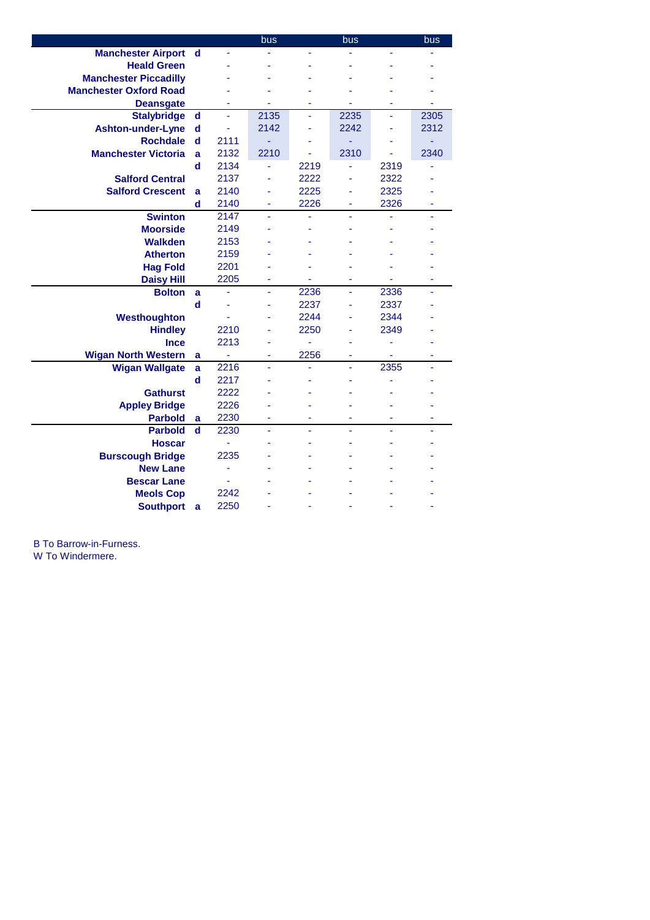|                               |             |      | bus  |      | bus  |      | bus  |
|-------------------------------|-------------|------|------|------|------|------|------|
| <b>Manchester Airport</b>     | $\mathbf d$ |      |      |      |      |      |      |
| <b>Heald Green</b>            |             |      |      |      |      |      |      |
| <b>Manchester Piccadilly</b>  |             |      |      |      |      |      |      |
| <b>Manchester Oxford Road</b> |             |      |      |      |      |      |      |
| <b>Deansgate</b>              |             |      |      |      |      |      |      |
| <b>Stalybridge</b>            | $\mathbf d$ |      | 2135 | L,   | 2235 |      | 2305 |
| Ashton-under-Lyne             | $\mathbf d$ |      | 2142 |      | 2242 |      | 2312 |
| <b>Rochdale</b>               | $\mathbf d$ | 2111 | ÷,   |      | ٠    |      |      |
| <b>Manchester Victoria</b>    | a           | 2132 | 2210 |      | 2310 |      | 2340 |
|                               | $\mathbf d$ | 2134 |      | 2219 | ä,   | 2319 |      |
| <b>Salford Central</b>        |             | 2137 |      | 2222 |      | 2322 |      |
| <b>Salford Crescent</b>       | a           | 2140 |      | 2225 |      | 2325 |      |
|                               | $\mathbf d$ | 2140 |      | 2226 |      | 2326 |      |
| <b>Swinton</b>                |             | 2147 | ä,   | ä,   | ä,   |      |      |
| <b>Moorside</b>               |             | 2149 |      |      |      |      |      |
| <b>Walkden</b>                |             | 2153 |      |      |      |      |      |
| <b>Atherton</b>               |             | 2159 |      |      |      |      |      |
| <b>Hag Fold</b>               |             | 2201 |      |      |      |      |      |
| <b>Daisy Hill</b>             |             | 2205 | ٠    | ä,   | ۰    | ä,   | ٠    |
| <b>Bolton</b>                 | a           | ä    | ÷,   | 2236 | ä,   | 2336 | ä,   |
|                               | d           |      |      | 2237 |      | 2337 |      |
| Westhoughton                  |             | ä    | ۰    | 2244 |      | 2344 |      |
| <b>Hindley</b>                |             | 2210 |      | 2250 | ä,   | 2349 |      |
| Ince                          |             | 2213 | ۰    | ä,   |      | ٠    |      |
| <b>Wigan North Western</b>    | a           | ۰    | ٠    | 2256 | ۰    | ۰    | ۰    |
| <b>Wigan Wallgate</b>         | a           | 2216 | ٠    | ۰    | ÷,   | 2355 | ä,   |
|                               | $\mathbf d$ | 2217 |      |      |      |      |      |
| <b>Gathurst</b>               |             | 2222 |      |      |      |      |      |
| <b>Appley Bridge</b>          |             | 2226 |      |      |      |      |      |
| <b>Parbold</b>                | a           | 2230 | ä    | L,   |      | ä    |      |
| <b>Parbold</b>                | $\mathbf d$ | 2230 | ä,   | L,   | L,   |      |      |
| <b>Hoscar</b>                 |             | ä,   |      |      |      |      |      |
| <b>Burscough Bridge</b>       |             | 2235 |      |      |      |      |      |
| <b>New Lane</b>               |             | ä    |      |      |      |      |      |
| <b>Bescar Lane</b>            |             | ÷,   |      |      |      |      |      |
| <b>Meols Cop</b>              |             | 2242 |      |      |      |      |      |
| <b>Southport</b>              | a           | 2250 |      |      |      |      |      |

B To Barrow-in-Furness.

W To Windermere.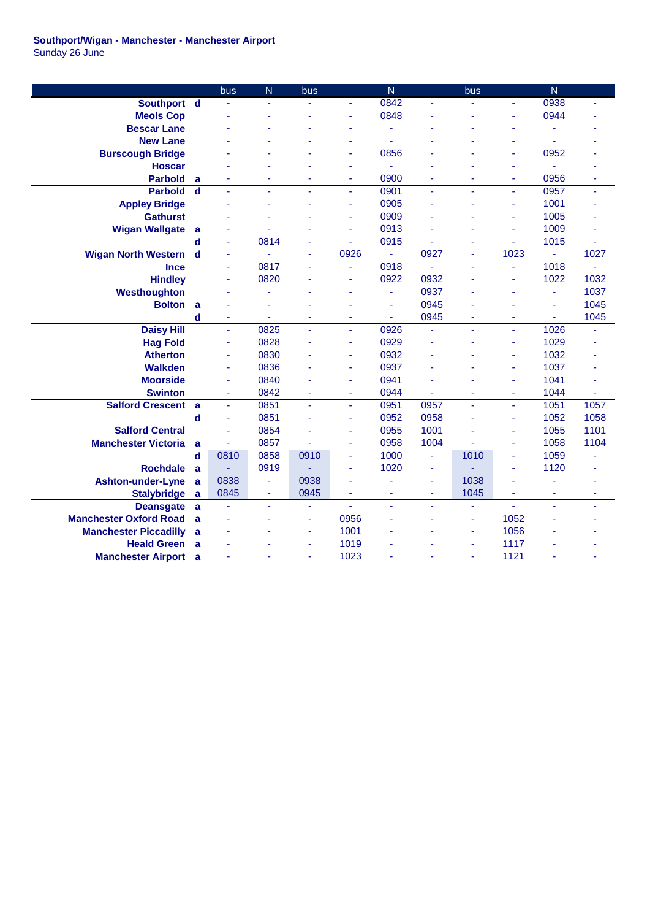## **Southport/Wigan - Manchester - Manchester Airport** Sunday 26 June

|                               |             | bus  | N    | bus  |      | N              |                | bus  |                          | $\overline{N}$ |      |
|-------------------------------|-------------|------|------|------|------|----------------|----------------|------|--------------------------|----------------|------|
| Southport d                   |             |      | ä,   |      |      | 0842           |                |      |                          | 0938           | ÷.   |
| <b>Meols Cop</b>              |             |      |      |      |      | 0848           |                |      |                          | 0944           |      |
| <b>Bescar Lane</b>            |             |      |      |      |      |                |                |      |                          | ä,             |      |
| <b>New Lane</b>               |             |      |      |      |      |                |                |      |                          | ä,             |      |
| <b>Burscough Bridge</b>       |             |      |      |      |      | 0856           |                |      |                          | 0952           |      |
| <b>Hoscar</b>                 |             |      |      |      |      | ä,             |                |      | ٠                        | ä,             |      |
| <b>Parbold</b>                | a           |      |      | ٠    | ٠    | 0900           |                |      | $\overline{\phantom{a}}$ | 0956           | ä,   |
| <b>Parbold</b>                | $\mathbf d$ | ä,   | ä,   | ٠    | ä,   | 0901           | ä,             | ٠    | ÷.                       | 0957           | ÷.   |
| <b>Appley Bridge</b>          |             |      | ٠    |      | ä,   | 0905           |                |      |                          | 1001           |      |
| <b>Gathurst</b>               |             |      |      |      | ä,   | 0909           |                |      | $\overline{\phantom{a}}$ | 1005           |      |
| <b>Wigan Wallgate</b>         | a           |      |      |      | ä,   | 0913           |                |      |                          | 1009           |      |
|                               | $\mathbf d$ | ä,   | 0814 | ÷    | ä,   | 0915           |                |      | ä,                       | 1015           | ä,   |
| <b>Wigan North Western</b>    | $\mathbf d$ | ÷    | ä,   | ÷    | 0926 | $\blacksquare$ | 0927           | ä,   | 1023                     | ä,             | 1027 |
| <b>Ince</b>                   |             | ä,   | 0817 |      | ä,   | 0918           |                |      |                          | 1018           | ä,   |
| <b>Hindley</b>                |             | ÷    | 0820 |      | ä,   | 0922           | 0932           |      | $\overline{\phantom{a}}$ | 1022           | 1032 |
| Westhoughton                  |             |      | ä,   |      | ä,   | ÷              | 0937           |      | ٠                        | ÷              | 1037 |
| <b>Bolton</b>                 | a           |      | ٠    |      |      | ÷,             | 0945           |      |                          | ä,             | 1045 |
|                               | d           | ÷    | ٠    | ٠    | ۰    | ٠              | 0945           |      | ٠                        | ٠              | 1045 |
| <b>Daisy Hill</b>             |             | ä,   | 0825 | ä,   | ä,   | 0926           | ä,             | ä,   | ÷.                       | 1026           | L    |
| <b>Hag Fold</b>               |             | ä,   | 0828 |      | ä,   | 0929           |                |      |                          | 1029           |      |
| <b>Atherton</b>               |             | ä,   | 0830 |      | ä,   | 0932           |                |      |                          | 1032           |      |
| <b>Walkden</b>                |             |      | 0836 |      | ä,   | 0937           |                |      |                          | 1037           |      |
| <b>Moorside</b>               |             | ä,   | 0840 |      | ä,   | 0941           |                |      |                          | 1041           |      |
| <b>Swinton</b>                |             | ä,   | 0842 | ÷    | ä,   | 0944           |                | ٠    | ٠                        | 1044           | ä,   |
| <b>Salford Crescent</b>       | a           | ä,   | 0851 | ä,   | ä,   | 0951           | 0957           | ä,   | ٠                        | 1051           | 1057 |
|                               | $\mathbf d$ | ä,   | 0851 |      | ä,   | 0952           | 0958           | ä,   | ٠                        | 1052           | 1058 |
| <b>Salford Central</b>        |             |      | 0854 |      | ä,   | 0955           | 1001           |      | ٠                        | 1055           | 1101 |
| <b>Manchester Victoria</b>    | a           | ä,   | 0857 |      | ä,   | 0958           | 1004           |      |                          | 1058           | 1104 |
|                               | d           | 0810 | 0858 | 0910 | ä,   | 1000           | $\blacksquare$ | 1010 | ÷                        | 1059           | ä,   |
| <b>Rochdale</b>               | a           |      | 0919 |      | ä,   | 1020           | ä,             |      | ٠                        | 1120           |      |
| <b>Ashton-under-Lyne</b>      | a           | 0838 | ÷    | 0938 | ä,   |                | ä,             | 1038 |                          | ä,             |      |
| <b>Stalybridge</b>            | a           | 0845 | ÷    | 0945 | ä,   | $\blacksquare$ | $\blacksquare$ | 1045 |                          | ÷              | ä,   |
| <b>Deansgate</b>              | a           |      | ä,   | ä,   | ä,   | ä,             | ä,             | ÷    | ÷                        | ä,             | ÷    |
| <b>Manchester Oxford Road</b> | a           |      | ٠    | ÷    | 0956 |                |                | ä,   | 1052                     | ٠              |      |
| <b>Manchester Piccadilly</b>  | a           |      |      | ÷    | 1001 |                |                | ÷    | 1056                     |                |      |
| <b>Heald Green</b>            | a           |      |      | ä,   | 1019 |                |                | ä,   | 1117                     |                |      |
| <b>Manchester Airport</b>     | a           |      |      | ÷    | 1023 |                |                | ÷    | 1121                     |                |      |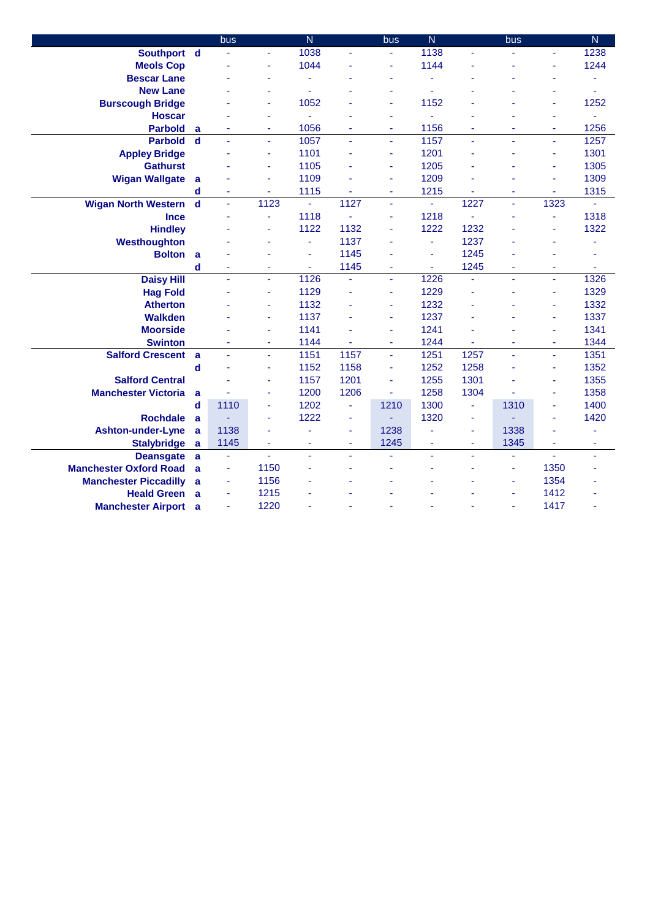|                               |                         | bus            |      | $\overline{\mathsf{N}}$ |                | bus      | $\overline{N}$ |      | bus  |                | $\overline{N}$ |
|-------------------------------|-------------------------|----------------|------|-------------------------|----------------|----------|----------------|------|------|----------------|----------------|
| Southport d                   |                         |                | ä,   | 1038                    | ä,             |          | 1138           | ä,   |      | ÷.             | 1238           |
| <b>Meols Cop</b>              |                         |                | ä,   | 1044                    |                |          | 1144           |      |      |                | 1244           |
| <b>Bescar Lane</b>            |                         |                | ä,   | ä,                      |                | ٠        |                |      |      | ä,             |                |
| <b>New Lane</b>               |                         |                |      |                         |                |          |                |      |      |                |                |
| <b>Burscough Bridge</b>       |                         |                | ÷    | 1052                    |                | ä,       | 1152           |      |      | ä,             | 1252           |
| <b>Hoscar</b>                 |                         |                | ä,   |                         |                | ä,       |                |      |      | L              | ä,             |
| <b>Parbold</b>                | a                       |                | ÷    | 1056                    | ٠              | ÷        | 1156           | ÷    | ÷    | ٠              | 1256           |
| <b>Parbold</b>                | $\mathbf d$             | L,             | ä,   | 1057                    | ä,             | $\omega$ | 1157           | ä,   | ä,   | ä,             | 1257           |
| <b>Appley Bridge</b>          |                         |                | ÷    | 1101                    | L,             | ٠        | 1201           | ä    |      | ä,             | 1301           |
| <b>Gathurst</b>               |                         |                | ä,   | 1105                    |                | ä,       | 1205           | ä,   |      | L,             | 1305           |
| <b>Wigan Wallgate</b>         | a                       |                | ä,   | 1109                    |                | ÷        | 1209           |      |      | ä,             | 1309           |
|                               | d                       | ä,             | ۰    | 1115                    |                | ٠        | 1215           | ۰    | ÷    | ٠              | 1315           |
| <b>Wigan North Western</b>    | $\overline{\mathbf{d}}$ | ä,             | 1123 | $\blacksquare$          | 1127           | ä,       | ÷.             | 1227 | ä,   | 1323           |                |
| <b>Ince</b>                   |                         |                | ä,   | 1118                    |                | ä,       | 1218           | L,   |      | ä,             | 1318           |
| <b>Hindley</b>                |                         |                | ä,   | 1122                    | 1132           |          | 1222           | 1232 |      |                | 1322           |
| Westhoughton                  |                         |                |      | ä,                      | 1137           |          | ä,             | 1237 |      |                |                |
| <b>Bolton</b>                 | a                       |                |      | ä                       | 1145           |          |                | 1245 |      |                |                |
|                               | d                       |                |      | ä,                      | 1145           | ä,       | ä,             | 1245 | ä,   | ä,             | ٠              |
| <b>Daisy Hill</b>             |                         |                | ä,   | 1126                    | L.             | ä,       | 1226           | ä,   | ä,   | L,             | 1326           |
| <b>Hag Fold</b>               |                         |                | ä,   | 1129                    | L              | ä,       | 1229           | ä,   |      | ä,             | 1329           |
| <b>Atherton</b>               |                         |                | ä,   | 1132                    |                | ä,       | 1232           | ä,   |      | ä,             | 1332           |
| <b>Walkden</b>                |                         |                | ä,   | 1137                    | L              | ä,       | 1237           | L,   |      | L              | 1337           |
| <b>Moorside</b>               |                         |                | ä,   | 1141                    |                | ÷        | 1241           | ä,   |      | ä,             | 1341           |
| <b>Swinton</b>                |                         |                | ä,   | 1144                    | ÷.             | ٠        | 1244           | ä,   | ÷    | ä,             | 1344           |
| <b>Salford Crescent</b>       | a                       |                | ä,   | 1151                    | 1157           | ä,       | 1251           | 1257 |      | ä,             | 1351           |
|                               | d                       |                | ä,   | 1152                    | 1158           | ä,       | 1252           | 1258 |      | L,             | 1352           |
| <b>Salford Central</b>        |                         |                | ä,   | 1157                    | 1201           | ä,       | 1255           | 1301 |      | ä,             | 1355           |
| <b>Manchester Victoria</b>    | a                       |                | ä,   | 1200                    | 1206           | ä,       | 1258           | 1304 |      | ä,             | 1358           |
|                               | d                       | 1110           | ä,   | 1202                    | ä,             | 1210     | 1300           | ä,   | 1310 | ä,             | 1400           |
| <b>Rochdale</b>               | a                       |                | ä,   | 1222                    | ä,             |          | 1320           | ÷    |      | ä,             | 1420           |
| <b>Ashton-under-Lyne</b>      | a                       | 1138           | ä,   |                         | ä,             | 1238     |                | ÷    | 1338 | ä,             | ٠              |
| <b>Stalybridge</b>            | a                       | 1145           | ÷    | ٠                       | $\blacksquare$ | 1245     | ÷              | ٠    | 1345 | ÷              | ۰              |
| <b>Deansgate</b>              | a                       | ä,             | ä,   | ä,                      | ä,             |          | ÷,             | ٠    | ÷,   | $\blacksquare$ | ٠              |
| <b>Manchester Oxford Road</b> | a                       | $\blacksquare$ | 1150 |                         |                |          |                |      | ÷    | 1350           |                |
| <b>Manchester Piccadilly</b>  | a                       | ÷              | 1156 |                         |                |          |                |      | ÷    | 1354           |                |
| <b>Heald Green</b>            | a                       | $\blacksquare$ | 1215 |                         |                |          |                |      | ä,   | 1412           |                |
| <b>Manchester Airport</b> a   |                         |                | 1220 |                         |                |          |                |      |      | 1417           |                |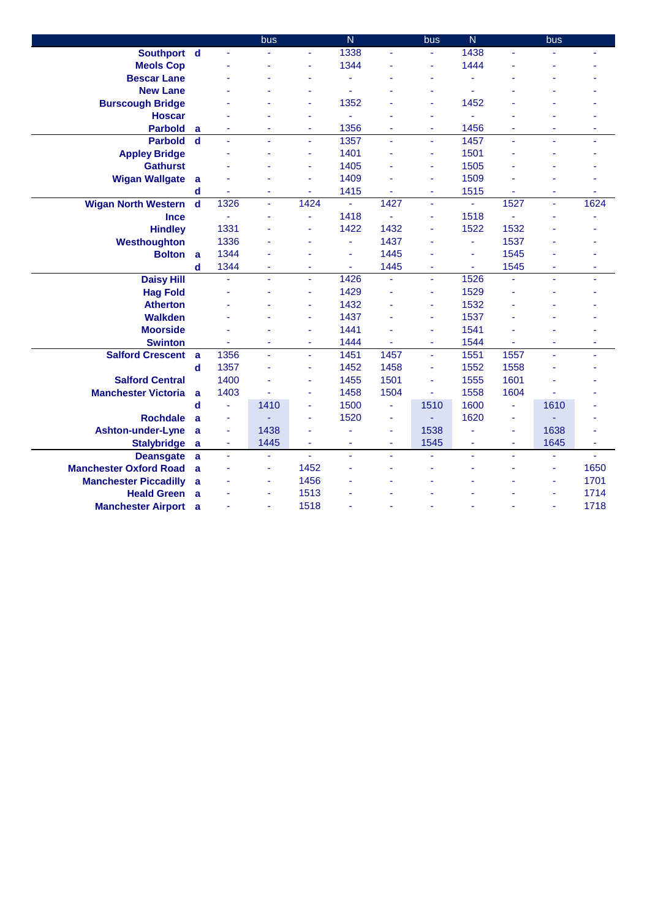|                               |             |                          | bus  |                          | $\overline{N}$ |                          | bus  | $\overline{N}$ |                          | bus  |      |
|-------------------------------|-------------|--------------------------|------|--------------------------|----------------|--------------------------|------|----------------|--------------------------|------|------|
| Southport d                   |             |                          | ä,   | ä,                       | 1338           | ä,                       | ä,   | 1438           | ä,                       |      |      |
| <b>Meols Cop</b>              |             |                          |      | ä,                       | 1344           |                          |      | 1444           |                          |      |      |
| <b>Bescar Lane</b>            |             |                          |      | ä,                       | ä,             |                          |      | ÷              |                          |      |      |
| <b>New Lane</b>               |             |                          |      |                          | L,             |                          |      | ä,             |                          |      |      |
| <b>Burscough Bridge</b>       |             |                          |      | ä,                       | 1352           |                          |      | 1452           |                          |      |      |
| <b>Hoscar</b>                 |             |                          |      | ä,                       | ä,             |                          |      | ä,             |                          |      |      |
| <b>Parbold</b>                | a           |                          | ٠    | $\overline{\phantom{a}}$ | 1356           | $\overline{\phantom{a}}$ | Ξ    | 1456           | $\overline{\phantom{a}}$ | ä,   | ٠    |
| <b>Parbold</b>                | $\mathbf d$ | ä,                       | ä,   | $\blacksquare$           | 1357           | $\blacksquare$           | ä,   | 1457           | ÷                        | ä,   | ٠    |
| <b>Appley Bridge</b>          |             |                          |      | ä,                       | 1401           |                          | ä,   | 1501           |                          |      |      |
| <b>Gathurst</b>               |             |                          |      | ä,                       | 1405           |                          | ä,   | 1505           |                          |      |      |
| <b>Wigan Wallgate</b>         | a           |                          |      | í,                       | 1409           |                          | ä,   | 1509           |                          |      |      |
|                               | d           |                          | ÷    | ÷                        | 1415           |                          | Ξ    | 1515           |                          | ä,   |      |
| <b>Wigan North Western</b>    | $\mathbf d$ | $13\overline{26}$        | ÷,   | 1424                     | ÷,             | 1427                     | ä,   | ÷,             | 1527                     | ä,   | 1624 |
| <b>Ince</b>                   |             |                          | ä,   | ä,                       | 1418           |                          | ä,   | 1518           |                          |      |      |
| <b>Hindley</b>                |             | 1331                     |      | ä                        | 1422           | 1432                     |      | 1522           | 1532                     |      |      |
| Westhoughton                  |             | 1336                     | ä,   | ä                        | ä,             | 1437                     |      | ÷,             | 1537                     |      |      |
| <b>Bolton</b>                 | a           | 1344                     |      |                          | ä,             | 1445                     |      | ä,             | 1545                     |      |      |
|                               | $\mathbf d$ | 1344                     | ä,   | ä,                       | ÷.             | 1445                     | ä,   | ä,             | 1545                     | L,   |      |
| <b>Daisy Hill</b>             |             | ä,                       | ä,   | $\blacksquare$           | 1426           | ä,                       | ä,   | 1526           | ÷,                       | L,   | ٠    |
| <b>Hag Fold</b>               |             |                          | ٠    | ä,                       | 1429           | ÷,                       | ä,   | 1529           | ä,                       |      |      |
| <b>Atherton</b>               |             |                          |      | ä,                       | 1432           |                          | ä,   | 1532           |                          |      |      |
| <b>Walkden</b>                |             |                          | ٠    | ä,                       | 1437           |                          | ä,   | 1537           |                          |      |      |
| <b>Moorside</b>               |             |                          |      | ä,                       | 1441           |                          | ä,   | 1541           |                          |      |      |
| <b>Swinton</b>                |             |                          | ٠    | ٠                        | 1444           |                          | ÷    | 1544           |                          | ä,   |      |
| <b>Salford Crescent</b>       | a           | 1356                     | ä,   | ä,                       | 1451           | 1457                     | ä,   | 1551           | 1557                     | ä,   | ä,   |
|                               | $\mathbf d$ | 1357                     | ä,   | ä,                       | 1452           | 1458                     | ä,   | 1552           | 1558                     |      |      |
| <b>Salford Central</b>        |             | 1400                     |      | ä,                       | 1455           | 1501                     | ä,   | 1555           | 1601                     |      |      |
| <b>Manchester Victoria</b>    | a           | 1403                     |      | ä,                       | 1458           | 1504                     | ä,   | 1558           | 1604                     |      |      |
|                               | d           | ÷.                       | 1410 | ä,                       | 1500           | $\blacksquare$           | 1510 | 1600           | ä,                       | 1610 |      |
| <b>Rochdale</b>               | a           | ÷                        |      | ÷                        | 1520           | ÷                        |      | 1620           | ÷                        |      |      |
| <b>Ashton-under-Lyne</b>      | a           | $\overline{\phantom{a}}$ | 1438 | ä,                       |                | $\blacksquare$           | 1538 | ä,             | ÷                        | 1638 |      |
| <b>Stalybridge</b>            | a           | Ξ                        | 1445 | ٠                        | ÷              | ٠                        | 1545 | ÷              | ٠                        | 1645 | ÷    |
| <b>Deansgate</b>              | a           | ä,                       | ÷,   | ä,                       | ä,             | ä,                       |      | ä,             | ä,                       | ä,   | ä,   |
| <b>Manchester Oxford Road</b> | a           |                          | ÷    | 1452                     |                |                          |      | ÷              | ä,                       | ä,   | 1650 |
| <b>Manchester Piccadilly</b>  | a           |                          | ÷    | 1456                     |                |                          |      |                |                          | L,   | 1701 |
| <b>Heald Green</b>            | a           |                          | Ξ    | 1513                     |                |                          |      |                |                          | ä,   | 1714 |
| <b>Manchester Airport</b>     | a           |                          | ÷    | 1518                     |                |                          |      |                |                          | ä,   | 1718 |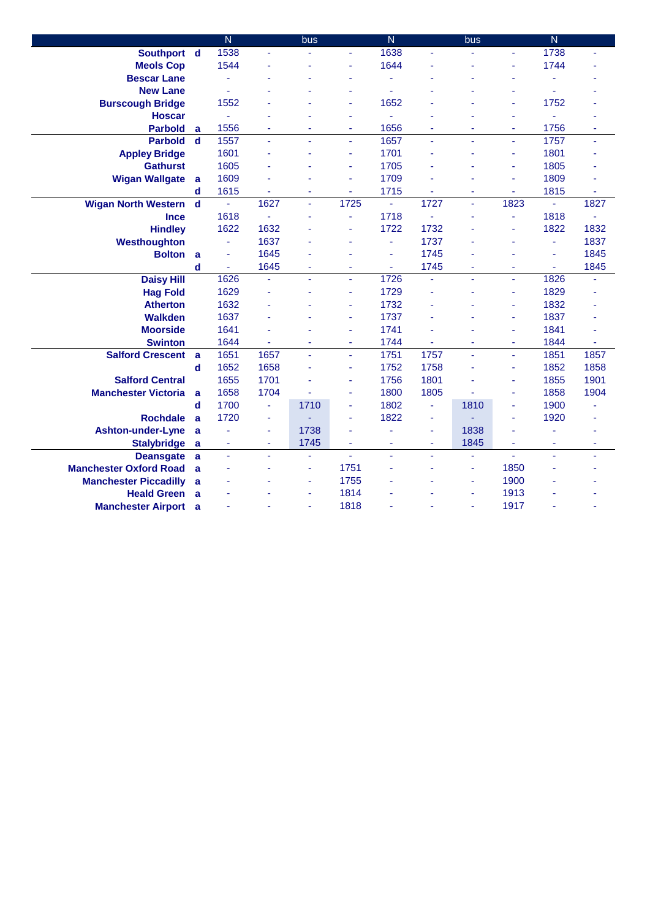|                               |             | $\overline{\mathsf{N}}$ |      | bus            |                | $\overline{N}$ |      | bus  |      | $\overline{N}$ |      |
|-------------------------------|-------------|-------------------------|------|----------------|----------------|----------------|------|------|------|----------------|------|
| Southport d                   |             | 1538                    |      |                |                | 1638           |      |      |      | 1738           |      |
| <b>Meols Cop</b>              |             | 1544                    |      |                |                | 1644           |      |      | ä,   | 1744           |      |
| <b>Bescar Lane</b>            |             |                         |      |                |                |                |      |      | ä,   |                |      |
| <b>New Lane</b>               |             |                         |      |                |                |                |      |      |      |                |      |
| <b>Burscough Bridge</b>       |             | 1552                    |      |                |                | 1652           |      |      | ä,   | 1752           |      |
| <b>Hoscar</b>                 |             | ä,                      |      |                |                | ä,             |      |      | ä,   | ä,             |      |
| <b>Parbold</b>                | a           | 1556                    | ä,   |                | L,             | 1656           |      |      | ä,   | 1756           |      |
| <b>Parbold</b>                | $\mathbf d$ | 1557                    | ä,   | ÷.             | ÷.             | 1657           | ä,   | ä,   | ÷.   | 1757           | ä,   |
| <b>Appley Bridge</b>          |             | 1601                    | ä,   |                | L,             | 1701           |      |      | ä,   | 1801           |      |
| <b>Gathurst</b>               |             | 1605                    |      |                | L,             | 1705           |      |      | ä,   | 1805           |      |
| <b>Wigan Wallgate</b>         | a           | 1609                    |      |                | ä,             | 1709           |      |      | ä,   | 1809           |      |
|                               | d           | 1615                    |      | ÷              | ÷              | 1715           |      | ٠    | ٠    | 1815           | ÷    |
| <b>Wigan North Western</b>    | $\mathbf d$ | ä,                      | 1627 | $\blacksquare$ | 1725           | ä,             | 1727 | ä,   | 1823 | ä,             | 1827 |
| <b>Ince</b>                   |             | 1618                    |      | ٠              | ä,             | 1718           |      | ä,   | ä,   | 1818           |      |
| <b>Hindley</b>                |             | 1622                    | 1632 |                |                | 1722           | 1732 |      | ä,   | 1822           | 1832 |
| Westhoughton                  |             | Ξ                       | 1637 |                |                | ÷              | 1737 |      |      | ٠              | 1837 |
| <b>Bolton</b>                 | a           |                         | 1645 |                |                | ÷              | 1745 |      |      | ä,             | 1845 |
|                               | d           |                         | 1645 | ٠              |                | ÷              | 1745 | ä,   | ÷    | ÷              | 1845 |
| <b>Daisy Hill</b>             |             | 1626                    | ä,   | ä,             | $\blacksquare$ | 1726           | ä,   | ÷,   | ÷    | 1826           |      |
| <b>Hag Fold</b>               |             | 1629                    | ä,   |                |                | 1729           |      |      | ä,   | 1829           |      |
| <b>Atherton</b>               |             | 1632                    |      |                |                | 1732           |      |      | ä,   | 1832           |      |
| <b>Walkden</b>                |             | 1637                    | ٠    |                | ÷,             | 1737           |      |      | ÷    | 1837           |      |
| <b>Moorside</b>               |             | 1641                    |      |                | ÷,             | 1741           |      |      | ٠    | 1841           |      |
| <b>Swinton</b>                |             | 1644                    | ä,   | $\blacksquare$ | ÷,             | 1744           | ä,   | ۰    | ٠    | 1844           | ä,   |
| <b>Salford Crescent</b>       | a           | 1651                    | 1657 | ä,             | ä,             | 1751           | 1757 | ä,   | ä,   | 1851           | 1857 |
|                               | $\mathbf d$ | 1652                    | 1658 |                | L,             | 1752           | 1758 | ä,   | ä,   | 1852           | 1858 |
| <b>Salford Central</b>        |             | 1655                    | 1701 |                | ä,             | 1756           | 1801 |      | ä,   | 1855           | 1901 |
| <b>Manchester Victoria</b>    | a           | 1658                    | 1704 |                | ä,             | 1800           | 1805 |      | ÷    | 1858           | 1904 |
|                               | $\mathbf d$ | 1700                    | ä,   | 1710           | L,             | 1802           | ä,   | 1810 | ä,   | 1900           |      |
| <b>Rochdale</b>               | a           | 1720                    | ÷    |                | ä,             | 1822           | ÷    |      | ÷    | 1920           |      |
| <b>Ashton-under-Lyne</b>      | a           |                         | ÷    | 1738           |                |                | ä,   | 1838 |      |                |      |
| <b>Stalybridge</b>            | a           | Ξ                       | ÷    | 1745           | ٠              | ÷              | Ξ    | 1845 | ÷    | ä,             | ÷    |
| <b>Deansgate</b>              | a           | ä,                      | ä,   | ä,             | $\omega$       | ٠              |      | ä,   | ä,   | ä,             | ٠    |
| <b>Manchester Oxford Road</b> | a           |                         |      | ٠              | 1751           |                |      | ۰    | 1850 |                |      |
| <b>Manchester Piccadilly</b>  | a           |                         |      | ä,             | 1755           |                |      | ä,   | 1900 |                |      |
| <b>Heald Green</b>            | a           |                         |      | $\blacksquare$ | 1814           |                |      | ÷    | 1913 |                |      |
| <b>Manchester Airport</b>     | a           |                         |      | ä,             | 1818           |                |      | ä,   | 1917 |                |      |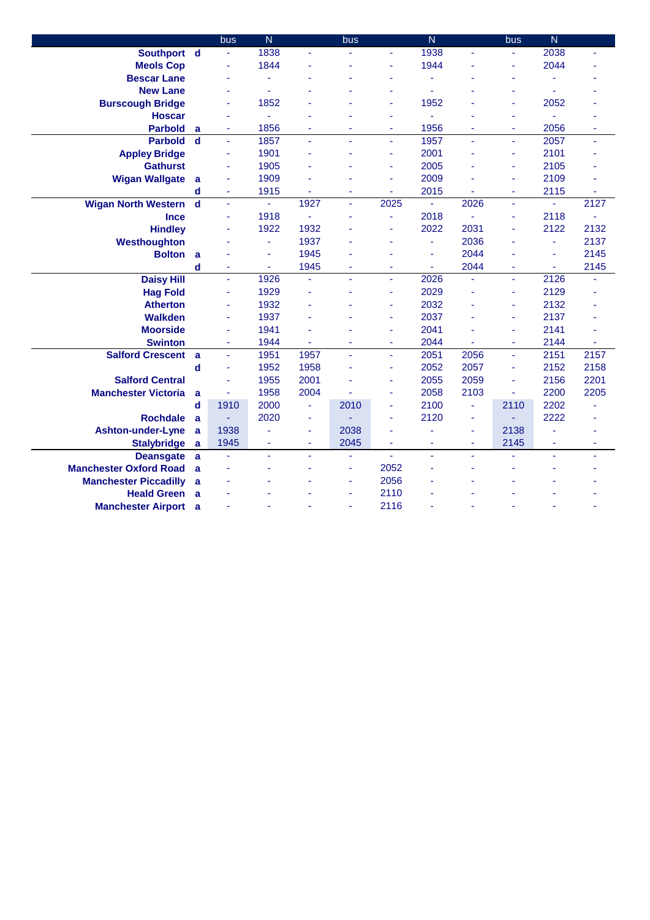|                               |             | bus            | $\overline{\mathsf{N}}$ |                | bus  |                          | $\overline{\mathsf{N}}$ |      | bus  | $\overline{\mathsf{N}}$ |      |
|-------------------------------|-------------|----------------|-------------------------|----------------|------|--------------------------|-------------------------|------|------|-------------------------|------|
| Southport d                   |             | ÷              | 1838                    |                |      |                          | 1938                    | ä,   |      | 2038                    |      |
| <b>Meols Cop</b>              |             |                | 1844                    |                |      |                          | 1944                    |      |      | 2044                    |      |
| <b>Bescar Lane</b>            |             |                | ä,                      |                |      |                          |                         |      | ٠    | L,                      |      |
| <b>New Lane</b>               |             |                |                         |                |      |                          |                         |      | ٠    | L,                      |      |
| <b>Burscough Bridge</b>       |             |                | 1852                    |                |      |                          | 1952                    |      | ä,   | 2052                    |      |
| <b>Hoscar</b>                 |             |                | ä,                      |                |      | ä,                       | ÷.                      |      | ÷    | ÷.                      |      |
| <b>Parbold</b>                | a           | ÷,             | 1856                    |                |      | ٠                        | 1956                    | ä,   | ä,   | 2056                    |      |
| <b>Parbold</b>                | $\mathbf d$ | ä,             | 1857                    | ÷.             | ä,   | ÷.                       | 1957                    | ä,   | ÷.   | 2057                    | ÷,   |
| <b>Appley Bridge</b>          |             | ÷.             | 1901                    |                |      | ٠                        | 2001                    |      | ÷    | 2101                    |      |
| <b>Gathurst</b>               |             | ä,             | 1905                    |                |      | ٠                        | 2005                    |      | ä,   | 2105                    |      |
| <b>Wigan Wallgate</b>         | a           |                | 1909                    |                |      | ä,                       | 2009                    |      | ä,   | 2109                    |      |
|                               | d           | ä,             | 1915                    | ٠              | ä    | $\overline{\phantom{a}}$ | 2015                    | ä,   | Ξ    | 2115                    | ÷    |
| <b>Wigan North Western</b>    | $\mathbf d$ | ä,             | ä,                      | 1927           | ÷.   | 2025                     | ä,                      | 2026 | ä,   | ä,                      | 2127 |
| <b>Ince</b>                   |             | ÷,             | 1918                    |                |      | ä,                       | 2018                    |      | ÷    | 2118                    |      |
| <b>Hindley</b>                |             | ÷              | 1922                    | 1932           |      | ÷                        | 2022                    | 2031 | ÷    | 2122                    | 2132 |
| Westhoughton                  |             |                | ٠                       | 1937           |      |                          | $\blacksquare$          | 2036 |      | ä,                      | 2137 |
| <b>Bolton</b>                 | a           |                | ÷                       | 1945           |      |                          | ÷                       | 2044 |      | ä,                      | 2145 |
|                               | d           | ÷              | ÷                       | 1945           | ä,   | ÷                        | $\blacksquare$          | 2044 | ÷    | $\blacksquare$          | 2145 |
| <b>Daisy Hill</b>             |             | ä,             | 1926                    | ä,             | ä,   | ÷,                       | 2026                    | ä,   | ÷,   | 2126                    |      |
| <b>Hag Fold</b>               |             | ä,             | 1929                    |                |      | ä,                       | 2029                    |      | ä,   | 2129                    |      |
| <b>Atherton</b>               |             |                | 1932                    |                |      |                          | 2032                    |      | ä,   | 2132                    |      |
| <b>Walkden</b>                |             | ٠              | 1937                    |                |      | $\blacksquare$           | 2037                    | ä,   | ÷    | 2137                    |      |
| <b>Moorside</b>               |             |                | 1941                    |                |      | ä,                       | 2041                    |      | ä,   | 2141                    |      |
| <b>Swinton</b>                |             | $\blacksquare$ | 1944                    | ä,             | ä,   | $\overline{\phantom{a}}$ | 2044                    | L,   | ä,   | 2144                    | ä,   |
| <b>Salford Crescent</b>       | a           | $\blacksquare$ | 1951                    | 1957           | ä,   | ä,                       | 2051                    | 2056 | ä,   | 2151                    | 2157 |
|                               | d           | $\blacksquare$ | 1952                    | 1958           | L,   | ÷                        | 2052                    | 2057 | ä,   | 2152                    | 2158 |
| <b>Salford Central</b>        |             |                | 1955                    | 2001           |      | ٠                        | 2055                    | 2059 | ä,   | 2156                    | 2201 |
| <b>Manchester Victoria</b>    | a           |                | 1958                    | 2004           |      | ٠                        | 2058                    | 2103 | ä,   | 2200                    | 2205 |
|                               | d           | 1910           | 2000                    | ÷,             | 2010 | ä,                       | 2100                    | ä,   | 2110 | 2202                    |      |
| <b>Rochdale</b>               | a           |                | 2020                    | ÷              |      |                          | 2120                    | ä,   |      | 2222                    |      |
| <b>Ashton-under-Lyne</b>      | a           | 1938           |                         | $\blacksquare$ | 2038 | ٠                        |                         | ٠    | 2138 |                         |      |
| <b>Stalybridge</b>            | a           | 1945           | ä,                      | ٠              | 2045 | ÷                        | ٠                       | ٠    | 2145 | ä,                      | ٠    |
| <b>Deansgate</b>              | a           | ä,             | ä,                      | ÷.             | ä,   | ä,                       | ä,                      | ä,   |      | ä,                      | ٠    |
| <b>Manchester Oxford Road</b> | a           |                | ä,                      | ä,             | ä,   | 2052                     |                         | ä,   | ÷    | L,                      |      |
| <b>Manchester Piccadilly</b>  | a           |                |                         |                | ٠    | 2056                     |                         |      |      |                         |      |
| <b>Heald Green</b>            | a           |                |                         |                | L,   | 2110                     |                         |      |      |                         |      |
| <b>Manchester Airport</b> a   |             |                |                         |                | ٠    | 2116                     |                         |      |      |                         |      |